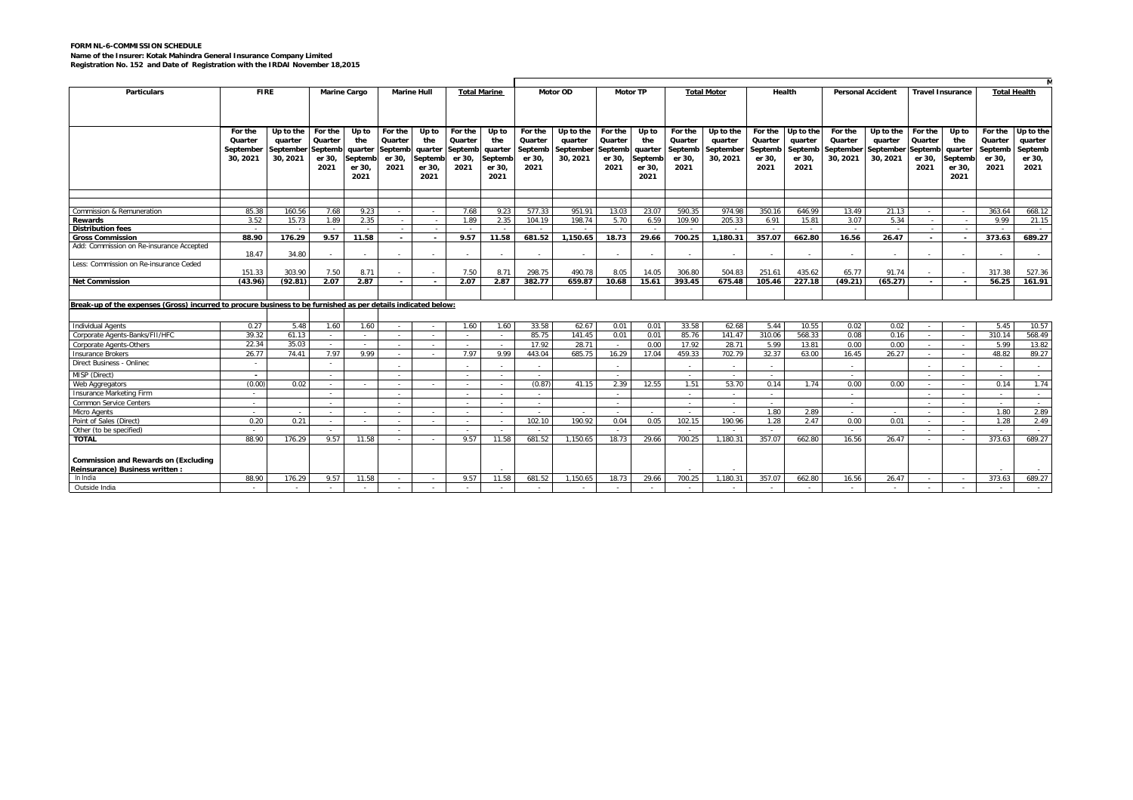## **FORM NL-6-COMMISSION SCHEDULE Name of the Insurer: Kotak Mahindra General Insurance Company Limited Registration No. 152 and Date of Registration with the IRDAI November 18,2015**

| <b>Particulars</b>                                                                                            | <b>FIRE</b> |           | <b>Marine Cargo</b> |                | <b>Marine Hull</b> |                          | <b>Total Marine</b> |                          | <b>Motor OD</b> |           | <b>Motor TP</b> |         | <b>Total Motor</b> |            | Health  |           | <b>Personal Accident</b> |           | <b>Travel Insurance</b>  |                          | <b>Total Health</b> |           |
|---------------------------------------------------------------------------------------------------------------|-------------|-----------|---------------------|----------------|--------------------|--------------------------|---------------------|--------------------------|-----------------|-----------|-----------------|---------|--------------------|------------|---------|-----------|--------------------------|-----------|--------------------------|--------------------------|---------------------|-----------|
|                                                                                                               |             |           |                     |                |                    |                          |                     |                          |                 |           |                 |         |                    |            |         |           |                          |           |                          |                          |                     |           |
|                                                                                                               |             |           |                     |                |                    |                          |                     |                          |                 |           |                 |         |                    |            |         |           |                          |           |                          |                          |                     |           |
|                                                                                                               | For the     | Up to the | For the             | Up to          | For the            | Up to                    | For the             | Up to                    | For the         | Up to the | For the         | Up to   | For the            | Up to the  | For the | Up to the | For the                  | Up to the | For the                  | Up to                    | For the             | Up to the |
|                                                                                                               | Quarter     | quarter   | Quarter             | the            | Quarter            | the                      | Quarter             | the                      | Quarter         | quarter   | Quarter         | the     | Quarter            | quarter    | Quarter | quarter   | Quarter                  | quarter   | Quarter                  | the                      | Quarter             | quarter   |
|                                                                                                               | September   | September | Septemb             | quarter        | Septemb            | quarter                  | Septemb             | quarter                  | Septemb         | September | Septemb         | quarter | Septemb            | September  | Septemb | Septemb   | September                | September | Septemb                  | quarter                  | Septemb             | Septemb   |
|                                                                                                               | 30.2021     | 30, 2021  | er 30,              | Septemb        | er 30,             | eptemb                   | er 30,              | Septemk                  | er 30,          | 30, 2021  | er 30,          | Septem  | er 30,             | 30, 2021   | er 30,  | er 30,    | 30, 2021                 | 30, 2021  | er 30,                   | Septemb                  | er 30,              | er 30,    |
|                                                                                                               |             |           | 2021                | er 30.         | 2021               | er 30.                   | 2021                | er 30,                   | 2021            |           | 2021            | er 30.  | 2021               |            | 2021    | 2021      |                          |           | 2021                     | er 30.                   | 2021                | 2021      |
|                                                                                                               |             |           |                     | 2021           |                    | 2021                     |                     | 2021                     |                 |           |                 | 2021    |                    |            |         |           |                          |           |                          | 2021                     |                     |           |
|                                                                                                               |             |           |                     |                |                    |                          |                     |                          |                 |           |                 |         |                    |            |         |           |                          |           |                          |                          |                     |           |
|                                                                                                               |             |           |                     |                |                    |                          |                     |                          |                 |           |                 |         |                    |            |         |           |                          |           |                          |                          |                     |           |
| Commission & Remuneration                                                                                     | 85.38       | 160.56    | 7.68                | 9.23           |                    | $\sim$                   | 7.68                | 9.23                     | 577.33          | 951.91    | 13.03           | 23.07   | 590.35             | 974.98     | 350.16  | 646.99    | 13.49                    | 21.13     | $\sim$                   |                          | 363.64              | 668.12    |
| Rewards                                                                                                       | 3.52        | 15.73     | 1.89                | 2.35           | $\sim$             |                          | 1.89                | 2.35                     | 104.19          | 198.74    | 5.70            | 6.59    | 109.90             | 205.33     | 6.91    | 15.81     | 3.07                     | 5.34      |                          | $\sim$                   | 9.99                | 21.15     |
| <b>Distribution fees</b>                                                                                      |             |           |                     |                |                    |                          |                     |                          |                 |           |                 |         |                    |            |         |           |                          |           |                          |                          |                     |           |
| <b>Gross Commission</b>                                                                                       | 88.90       | 176.29    | 9.57                | 11.58          | $\sim$             | $\overline{\phantom{a}}$ | 9.57                | 11.58                    | 681.52          | 1.150.65  | 18.73           | 29.66   | 700.25             | 1.180.31   | 357.07  | 662.80    | 16.56                    | 26.47     | $\overline{\phantom{a}}$ | $\overline{\phantom{a}}$ | 373.63              | 689.27    |
| Add: Commission on Re-insurance Accepted                                                                      | 18.47       | 34.80     |                     | $\sim$         | $\sim$             | $\sim$                   |                     | $\sim$                   |                 | $\sim$    |                 | $\sim$  |                    | $\sim$     |         |           |                          | $\sim$    |                          |                          |                     | $\sim$    |
| Less: Commission on Re-insurance Ceded                                                                        |             |           |                     |                |                    |                          |                     |                          |                 |           |                 |         |                    |            |         |           |                          |           |                          |                          |                     |           |
|                                                                                                               | 151.33      | 303.90    | 7.50                | 8.71           |                    |                          | 7.50                | 8.71                     | 298.75          | 490.78    | 8.05            | 14.05   | 306.80             | 504.83     | 251.61  | 435.62    | 65.77                    | 91.74     |                          |                          | 317.38              | 527.36    |
| <b>Net Commission</b>                                                                                         | (43.96)     | (92.81)   | 2.07                | 2.87           | $\sim$             | $\overline{\phantom{a}}$ | 2.07                | 2.87                     | 382.77          | 659.87    | 10.68           | 15.61   | 393.45             | 675.48     | 105.46  | 227.18    | (49.21)                  | (65.27)   | $\sim$                   | $\overline{\phantom{a}}$ | 56.25               | 161.91    |
|                                                                                                               |             |           |                     |                |                    |                          |                     |                          |                 |           |                 |         |                    |            |         |           |                          |           |                          |                          |                     |           |
| Break-up of the expenses (Gross) incurred to procure business to be furnished as per details indicated below: |             |           |                     |                |                    |                          |                     |                          |                 |           |                 |         |                    |            |         |           |                          |           |                          |                          |                     |           |
|                                                                                                               |             |           |                     |                |                    |                          |                     |                          |                 |           |                 |         |                    |            |         |           |                          |           |                          |                          |                     |           |
| <b>Individual Agents</b>                                                                                      | 0.27        | 5.48      | 1.60                | 1.60           | $\sim$             | $\sim$                   | 1.60                | 1.60                     | 33.58           | 62.67     | 0.01            | 0.01    | 33.58              | 62.68      | 5.44    | 10.55     | 0.02                     | 0.02      | $\sim$                   | $\sim$                   | 5.45                | 10.57     |
| Corporate Agents-Banks/FII/HFC                                                                                | 39.32       | 61.13     | $\sim$              | $\sim$         |                    | $\sim$                   |                     |                          | 85.75           | 141.45    | 0.01            | 0.01    | 85.76              | 141.47     | 310.06  | 568.33    | 0.08                     | 0.16      | $\sim$                   |                          | 310.14              | 568.49    |
| Corporate Agents-Others                                                                                       | 22.34       | 35.03     |                     |                |                    |                          |                     |                          | 17.92           | 28.71     |                 | 0.00    | 17.92              | 28.71      | 5.99    | 13.81     | 0.00                     | 0.00      |                          |                          | 5.99                | 13.82     |
| <b>Insurance Brokers</b>                                                                                      | 26.77       | 74.41     | 7.97                | 9.99           | a.                 | $\sim$                   | 7.97                | 9.99                     | 443.04          | 685.75    | 16.29           | 17.04   | 459.33             | 702.79     | 32.37   | 63.00     | 16.45                    | 26.27     | $\sim$                   | $\sim$                   | 48.82               | 89.27     |
| Direct Business - Onlinec                                                                                     |             |           |                     |                |                    |                          |                     |                          | $\sim$          |           |                 |         |                    | $\sim$     |         |           |                          |           |                          |                          |                     | $\sim$    |
| MISP (Direct)                                                                                                 | $\sim$      |           | $\sim$              |                | $\sim$             |                          | $\sim$              | $\sim$                   | $\sim$          |           | $\sim$          |         | $\sim$             | $\sim$     | $\sim$  |           | $\sim$                   |           | $\sim$                   | $\sim$                   | $\sim$              | $\sim$    |
| Web Aggregators                                                                                               | (0.00)      | 0.02      |                     |                |                    |                          |                     |                          | (0.87)          | 41.15     | 2.39            | 12.55   | 1.51               | 53.70      | 0.14    | 1.74      | 0.00                     | 0.00      |                          |                          | 0.14                | 1.74      |
| Insurance Marketing Firm                                                                                      | $\sim$      |           |                     |                |                    |                          |                     |                          | in 1919.        |           |                 |         |                    | $\sim$     |         |           |                          |           |                          |                          |                     | - 2       |
| Common Service Centers                                                                                        | $\sim$      |           | $\sim$              |                | <b>Section</b>     |                          | $\sim$              | $\sim$                   | <b>Section</b>  |           | $\sim$          |         | <b>Section</b>     | $\sim$ $-$ | $\sim$  |           | $\sim$                   |           | $\sim$                   | $\sim$                   | $\sim$              | $\sim$    |
| Micro Agents                                                                                                  | $\sim$      |           | $\sim$              |                |                    | $\sim$                   |                     | $\sim$                   | $\sim$          |           |                 |         |                    | $\sim$     | 1.80    | 2.89      |                          |           | $\sim$                   | $\sim$                   | 1.80                | 2.89      |
| Point of Sales (Direct)                                                                                       | 0.20        | 0.21      | $\sim$              |                |                    |                          |                     | - 2                      | 102.10          | 190.92    | 0.04            | 0.05    | 102.15             | 190.96     | 1.28    | 2.47      | 0.00                     | 0.01      | $\sim$                   |                          | 1.28                | 2.49      |
| Other (to be specified)                                                                                       | $\sim$      |           |                     |                | $\sim$             |                          |                     | $\overline{\phantom{a}}$ |                 |           |                 |         |                    |            |         |           |                          |           | $\sim$                   |                          |                     | $\sim$    |
| <b>TOTAL</b>                                                                                                  | 88.90       | 176.29    | 9.57                | 11.58          |                    |                          | 9.57                | 11.58                    | 681.52          | 1.150.65  | 18.73           | 29.66   | 700.25             | 1.180.31   | 357.07  | 662.80    | 16.56                    | 26.47     |                          |                          | 373.63              | 689.27    |
|                                                                                                               |             |           |                     |                |                    |                          |                     |                          |                 |           |                 |         |                    |            |         |           |                          |           |                          |                          |                     |           |
| <b>Commission and Rewards on (Excluding</b>                                                                   |             |           |                     |                |                    |                          |                     |                          |                 |           |                 |         |                    |            |         |           |                          |           |                          |                          |                     |           |
| Reinsurance) Business written:                                                                                |             |           |                     |                |                    |                          |                     | $\overline{\phantom{a}}$ |                 |           |                 |         |                    |            |         |           |                          |           |                          |                          |                     |           |
| In India                                                                                                      | 88.90       | 176.29    | 9.57                | 11.58          |                    | $\sim$                   | 9.57                | 11.58                    | 681.52          | 1.150.65  | 18.73           | 29.66   | 700.25             | 1.180.31   | 357.07  | 662.80    | 16.56                    | 26.47     |                          |                          | 373.63              | 689.27    |
| Outside India                                                                                                 | $\sim$      |           | $\sim$              | $\overline{a}$ |                    |                          |                     | $\sim$                   | in 1919.        | $\sim$    | $\sim$          |         |                    | $\sim$     |         |           | $\sim$                   | $\sim$    | $\sim$                   |                          |                     |           |
|                                                                                                               |             |           |                     |                |                    |                          |                     |                          |                 |           |                 |         |                    |            |         |           |                          |           |                          |                          |                     |           |

.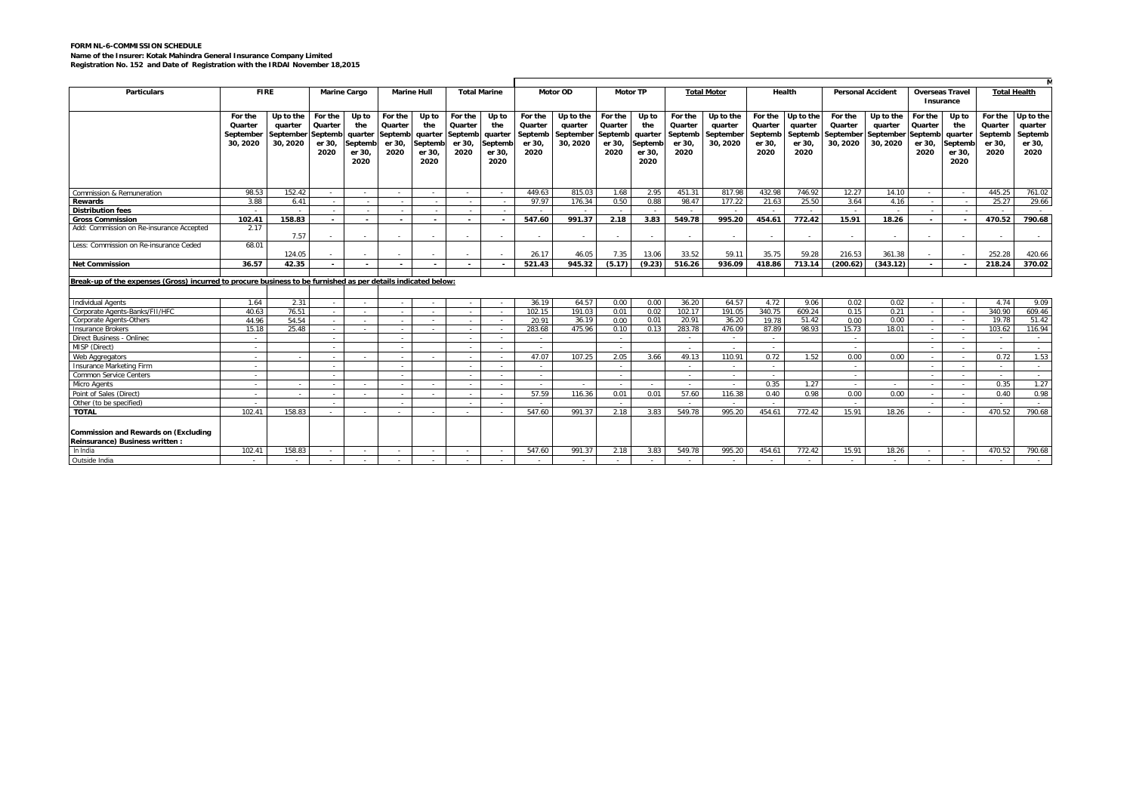## **FORM NL-6-COMMISSION SCHEDULE Name of the Insurer: Kotak Mahindra General Insurance Company Limited Registration No. 152 and Date of Registration with the IRDAI November 18,2015**

| <b>Particulars</b>                                                                                            |           |           | <b>FIRE</b><br><b>Marine Cargo</b> |                          | <b>Marine Hull</b>       |                          | <b>Total Marine</b> |                          | <b>Motor OD</b> |           |         | <b>Motor TP</b> |                 | <b>Total Motor</b> |            | Health    | <b>Personal Accident</b> |           | <b>Overseas Travel</b><br>Insurance |                          | <b>Total Health</b> |                          |
|---------------------------------------------------------------------------------------------------------------|-----------|-----------|------------------------------------|--------------------------|--------------------------|--------------------------|---------------------|--------------------------|-----------------|-----------|---------|-----------------|-----------------|--------------------|------------|-----------|--------------------------|-----------|-------------------------------------|--------------------------|---------------------|--------------------------|
|                                                                                                               |           |           |                                    |                          |                          |                          |                     |                          |                 |           |         |                 |                 |                    |            |           |                          |           |                                     |                          |                     |                          |
|                                                                                                               | For the   | Up to the | For the                            | Up to                    | For the                  | Up to                    | For the             | Up to                    | For the         | Up to the | For the | Up to           | For the         | Up to the          | For the    | Up to the | For the                  | Up to the | For the                             | Up to                    | For the             | Up to the                |
|                                                                                                               | Quarter   | quarter   | Quarter                            | the                      | Quarter                  | the                      | Quarter             | the                      | Quarter         | quarter   | Quarter | the             | Quarter         | auarter            | Quarter    | quarter   | Quarter                  | quarter   | Quarter                             | the                      | Quarter             | quarter                  |
|                                                                                                               | September | September | Septemb                            | quarter                  | Septemb                  | quarter                  | Septemb             | quarter                  | Septemb         | Septembei | Septemb | quarter         | Septemb         | September          | Septemb    | Septemb   | September                | September | Septemb                             | quarter                  | Septemb             | Septemb                  |
|                                                                                                               | 30.2020   | 30, 2020  | er 30.                             | ieptemb                  | er 30,                   | Septemb                  | er 30               | Septemt                  | er 30.          | 30.2020   | er 30,  | Septemb         | er 30.          | 30, 2020           | er 30.     | er 30.    | 30.2020                  | 30.2020   | er 30,                              | Septemb                  | er 30.              | er 30.                   |
|                                                                                                               |           |           | 2020                               | er 30,                   | 2020                     | er 30.                   | 2020                | er 30,                   | 2020            |           | 2020    | er 30.          | 2020            |                    | 2020       | 2020      |                          |           | 2020                                | er 30.                   | 2020                | 2020                     |
|                                                                                                               |           |           |                                    | 2020                     |                          | 2020                     |                     | 2020                     |                 |           |         | 2020            |                 |                    |            |           |                          |           |                                     | 2020                     |                     |                          |
|                                                                                                               |           |           |                                    |                          |                          |                          |                     |                          |                 |           |         |                 |                 |                    |            |           |                          |           |                                     |                          |                     |                          |
|                                                                                                               |           |           |                                    |                          |                          |                          |                     |                          |                 |           |         |                 |                 |                    |            |           |                          |           |                                     |                          |                     |                          |
| Commission & Remuneration                                                                                     | 98.53     | 152.42    | $\sim$                             | $\overline{\phantom{a}}$ | $\sim$                   |                          |                     | $\overline{\phantom{a}}$ | 449.63          | 815.03    | 1.68    | 2.95            | 451.31          | 817.98             | 432.98     | 746.92    | 12.27                    | 14.10     | $\sim$                              | $\sim$                   | 445.25              | 761.02                   |
| Rewards                                                                                                       | 3.88      | 6.41      | $\sim$                             |                          | $\sim$                   |                          | na.                 |                          | 97.97           | 176.34    | 0.50    | 0.88            | 98.47           | 177.22             | 21.63      | 25.50     | 3.64                     | 4.16      | $\sim$                              | $\sim$                   | 25.27               | 29.66                    |
| <b>Distribution fees</b>                                                                                      |           |           |                                    |                          |                          |                          |                     |                          |                 |           |         |                 |                 |                    |            |           |                          |           |                                     |                          |                     |                          |
| <b>Gross Commission</b>                                                                                       | 102.41    | 158.83    | $\overline{a}$                     | $\overline{\phantom{a}}$ | $\overline{\phantom{a}}$ | $\overline{\phantom{a}}$ | $\sim$              | $\sim$                   | 547.60          | 991.37    | 2.18    | 3.83            | 549.78          | 995.20             | 454.61     | 772.42    | 15.91                    | 18.26     | $\sim$                              | $\overline{\phantom{a}}$ | 470.52              | 790.68                   |
| Add: Commission on Re-insurance Accepted                                                                      | 2.17      |           |                                    |                          |                          |                          |                     |                          |                 |           |         |                 |                 |                    |            |           |                          |           |                                     |                          |                     |                          |
|                                                                                                               |           | 7.57      |                                    | $\sim$                   |                          | $\sim$                   | $\sim$              | $\sim$                   | $\sim$          | $\sim$    | $\sim$  | $\sim$          | $\sim$          | $\sim$             |            | $\sim$    | $\sim$                   |           |                                     |                          |                     | $\overline{\phantom{a}}$ |
| Less: Commission on Re-insurance Ceded                                                                        | 68.01     |           |                                    |                          |                          |                          |                     |                          |                 |           |         |                 |                 |                    |            |           |                          |           |                                     |                          |                     |                          |
|                                                                                                               |           | 124.05    |                                    |                          |                          |                          |                     |                          | 26.17           | 46.05     | 7.35    | 13.06           | 33.52           | 59.11              | 35.75      | 59.28     | 216.53                   | 361.38    |                                     |                          | 252.28              | 420.66                   |
| <b>Net Commission</b>                                                                                         | 36.57     | 42.35     | $\overline{a}$                     | $\overline{\phantom{a}}$ |                          |                          | $\sim$              |                          | 521.43          | 945.32    | (5.17)  | (9.23)          | 516.26          | 936.09             | 418.86     | 713.14    | (200.62)                 | (343.12)  | $\sim$                              |                          | 218.24              | 370.02                   |
|                                                                                                               |           |           |                                    |                          |                          |                          |                     |                          |                 |           |         |                 |                 |                    |            |           |                          |           |                                     |                          |                     |                          |
| Break-up of the expenses (Gross) incurred to procure business to be furnished as per details indicated below: |           |           |                                    |                          |                          |                          |                     |                          |                 |           |         |                 |                 |                    |            |           |                          |           |                                     |                          |                     |                          |
|                                                                                                               |           |           |                                    |                          |                          |                          |                     |                          |                 |           |         |                 |                 |                    |            |           |                          |           |                                     |                          |                     |                          |
| <b>Individual Agents</b>                                                                                      | 1.64      | 2.31      |                                    | $\sim$                   |                          | $\sim$                   |                     | $\sim$                   | 36.19           | 64.57     | 0.00    | 0.00            | 36.20           | 64.57              | 4.72       | 9.06      | 0.02                     | 0.02      |                                     | $\sim$                   | 4.74                | 9.09                     |
| Corporate Agents-Banks/FII/HFC                                                                                | 40.63     | 76.51     | $\sim$                             | $\sim$                   | $\sim$                   | $\sim$                   |                     | $\sim$                   | 102.15          | 191.03    | 0.01    | 0.02            | 102.17          | 191.05             | 340.75     | 609.24    | 0.15                     | 0.21      |                                     | $\sim$                   | 340.90              | 609.46                   |
| Corporate Agents-Others                                                                                       | 44.96     | 54.54     | $\sim$                             | $\sim$                   | $\sim$                   | $\sim$                   | $\sim$              | $\sim$                   | 20.91           | 36.19     | 0.00    | 0.01            | 20.91           | 36.20              | 19.78      | 51.42     | 0.00                     | 0.00      | $\sim$                              | <b>Section</b>           | 19.78               | 51.42                    |
| <b>Insurance Brokers</b>                                                                                      | 15.18     | 25.48     | in 1919.                           |                          | in 1919.                 | $\overline{\phantom{a}}$ |                     | $\sim$                   | 283.68          | 475.96    | 0.10    | 0.13            | 283.78          | 476.09             | 87.89      | 98.93     | 1573                     | 18.01     |                                     |                          | 103.62              | 116.94                   |
| Direct Business - Onlinec                                                                                     |           |           | $\sim$                             |                          | $\sim$                   |                          |                     | $\sim$                   | $\sim$          |           | $\sim$  |                 | $\sim 10^{-11}$ | $\sim$             | $\sim$     |           | $\sim$                   |           |                                     | $\sim$                   | $\sim$              | $\sim$                   |
| MISP (Direct)                                                                                                 |           |           |                                    |                          | $\sim$                   |                          |                     | $\sim$                   | $\sim$          |           |         |                 |                 |                    | $\sim$     |           |                          |           |                                     |                          |                     |                          |
| Web Aggregators                                                                                               |           |           | $\sim$                             | $\sim$                   | $\sim$                   | $\sim$                   | na.                 | $\sim$                   | 47.07           | 107.25    | 2.05    | 3.66            | 49.13           | 110.91             | 0.72       | 1.52      | 0.00                     | 0.00      | i al                                | in 1999.                 | 0.72                | 1.53                     |
| Insurance Marketing Firm                                                                                      | $\sim$    |           | $\sim$ $\sim$                      |                          | $\sim$                   |                          | $\sim$              | $\sim$                   | $\sim$          |           | $\sim$  |                 | <b>Section</b>  | $\sim$             | $\sim$ $-$ |           | $\sim$                   |           | $\sim$                              | $\sim$                   |                     | $\sim$                   |
| Common Service Centers                                                                                        |           |           |                                    |                          |                          |                          |                     | $\overline{\phantom{a}}$ | $\sim$          |           |         |                 |                 | $\sim$             |            |           |                          |           |                                     |                          |                     |                          |
| Micro Agents                                                                                                  |           |           | $\sim$                             |                          | $\sim$                   |                          |                     | $\sim$                   | $\sim$          | $\sim$    | - 20    | $\sim$          | <b>Section</b>  | $\sim$             | 0.35       | 1.27      |                          |           |                                     | $\sim$                   | 0.35                | 1.27                     |
| Point of Sales (Direct)                                                                                       |           |           | $\sim$                             | $\sim$                   | $\sim$                   |                          |                     | $\sim$                   | 57.59           | 116.36    | 0.01    | 0.01            | 57.60           | 116.38             | 0.40       | 0.98      | 0.00                     | 0.00      |                                     |                          | 0.40                | 0.98                     |
| Other (to be specified)                                                                                       | $\sim$    |           | $\sim$ $-$                         |                          | $\sim$                   |                          | $\sim$              | $\sim$                   | $\sim$          |           | $\sim$  |                 | $\sim$          | $\sim$             | $\sim$     |           | $\sim$                   |           |                                     | $\sim$                   | $\sim$              | $\sim$                   |
| <b>TOTAL</b>                                                                                                  | 102.41    | 158.83    |                                    |                          |                          | $\sim$                   | $\sim$              | $\sim$                   | 547.60          | 991.37    | 2.18    | 3.83            | 549.78          | 995.20             | 454.61     | 772.42    | 15.91                    | 18.26     |                                     |                          | 470.52              | 790.68                   |
|                                                                                                               |           |           |                                    |                          |                          |                          |                     |                          |                 |           |         |                 |                 |                    |            |           |                          |           |                                     |                          |                     |                          |
| Commission and Rewards on (Excluding                                                                          |           |           |                                    |                          |                          |                          |                     |                          |                 |           |         |                 |                 |                    |            |           |                          |           |                                     |                          |                     |                          |
| Reinsurance) Business written:                                                                                |           |           |                                    |                          |                          |                          |                     |                          |                 |           |         |                 |                 |                    |            |           |                          |           |                                     |                          |                     |                          |
| In India                                                                                                      | 102.41    | 158.83    |                                    |                          |                          |                          |                     |                          | 547.60          | 991.37    | 2.18    | 3.83            | 549.78          | 995.20             | 454.61     | 772.42    | 15.91                    | 18.26     | $\sim$                              |                          | 470.52              | 790.68                   |
| Outside India                                                                                                 |           |           |                                    |                          |                          |                          |                     |                          |                 |           |         |                 |                 | $\sim$             |            |           |                          |           |                                     |                          |                     |                          |
|                                                                                                               |           |           |                                    |                          |                          |                          |                     |                          |                 |           |         |                 |                 |                    |            |           |                          |           |                                     |                          |                     |                          |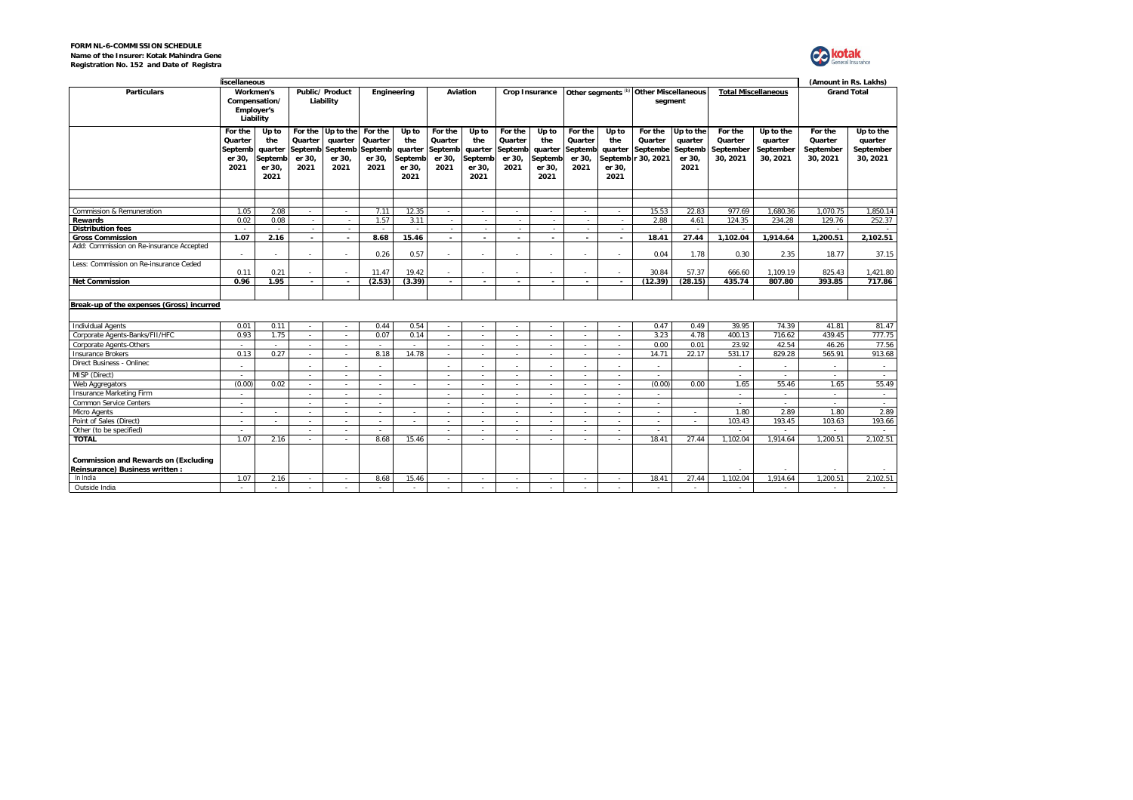| <b>FORM NL-6-COMMISSION SCHEDULE</b>      |  |
|-------------------------------------------|--|
| Name of the Insurer: Kotak Mahindra Gene  |  |
| Registration No. 152 and Date of Registra |  |



|                                                                                | liscellaneous                                   |                                                      |                                      |                                                           |                                                 |                                                      |                                                 |                                                      |                                                 |                                                      |                                                 |                                           |                                                      |                                                   |                                             | (Amount in Rs. Lakhs)                         |                                             |                                               |                    |  |  |
|--------------------------------------------------------------------------------|-------------------------------------------------|------------------------------------------------------|--------------------------------------|-----------------------------------------------------------|-------------------------------------------------|------------------------------------------------------|-------------------------------------------------|------------------------------------------------------|-------------------------------------------------|------------------------------------------------------|-------------------------------------------------|-------------------------------------------|------------------------------------------------------|---------------------------------------------------|---------------------------------------------|-----------------------------------------------|---------------------------------------------|-----------------------------------------------|--------------------|--|--|
| <b>Particulars</b>                                                             | Workmen's<br>Compensation/<br><b>Employer's</b> |                                                      | Liability                            |                                                           |                                                 | Public/ Product<br>Liability                         | Engineering                                     |                                                      |                                                 | Aviation                                             |                                                 | <b>Crop Insurance</b>                     | Other segments                                       |                                                   | <b>Other Miscellaneous</b><br>segment       |                                               |                                             | <b>Total Miscellaneous</b>                    | <b>Grand Total</b> |  |  |
|                                                                                | For the<br>Quarter<br>Septemb<br>er 30,<br>2021 | Up to<br>the<br>quarter<br>Septemb<br>er 30,<br>2021 | Quarter<br>Septemb<br>er 30,<br>2021 | For the Up to the<br>quarter<br>Septemb<br>er 30,<br>2021 | For the<br>Quarter<br>Septemb<br>er 30,<br>2021 | Up to<br>the<br>quarter<br>Septemb<br>er 30,<br>2021 | For the<br>Quarter<br>Septemb<br>er 30,<br>2021 | Up to<br>the<br>quarter<br>Septemb<br>er 30,<br>2021 | For the<br>Quarter<br>Septemb<br>er 30,<br>2021 | Up to<br>the<br>quarter<br>Septemb<br>er 30,<br>2021 | For the<br>Quarter<br>Septemb<br>er 30,<br>2021 | Up to<br>the<br>quarter<br>er 30,<br>2021 | For the<br>Quarter<br>Septembe<br>Septemb r 30, 2021 | Up to the<br>quarter<br>Septemb<br>er 30,<br>2021 | For the<br>Quarter<br>September<br>30, 2021 | Up to the<br>quarter<br>September<br>30, 2021 | For the<br>Quarter<br>September<br>30, 2021 | Up to the<br>quarter<br>September<br>30, 2021 |                    |  |  |
| Commission & Remuneration                                                      | 1.05                                            | 2.08                                                 |                                      | $\sim$                                                    | 7.11                                            | 12.35                                                | $\sim$                                          | $\sim$                                               | ٠                                               | ч.                                                   |                                                 |                                           | 15.53                                                | 22.83                                             | 977.69                                      | 1,680.36                                      | 1.070.75                                    | 1.850.14                                      |                    |  |  |
| Rewards                                                                        | 0.02                                            | 0.08                                                 |                                      | $\sim$                                                    | 1.57                                            | 3.11                                                 | $\sim$                                          |                                                      |                                                 |                                                      |                                                 |                                           | 2.88                                                 | 4.61                                              | 124.35                                      | 234.28                                        | 129.76                                      | 252.37                                        |                    |  |  |
| <b>Distribution fees</b>                                                       |                                                 |                                                      | $\sim$                               | $\sim$                                                    | $\sim$                                          | ÷.                                                   | $\sim$                                          | $\sim$                                               | ÷.                                              | $\sim$                                               | $\sim$                                          | ÷.                                        | $\sim$                                               | ÷.                                                |                                             |                                               | ÷.                                          |                                               |                    |  |  |
| <b>Gross Commission</b>                                                        | 1.07                                            | 2.16                                                 |                                      |                                                           | 8.68                                            | 15.46                                                | $\overline{\phantom{a}}$                        |                                                      |                                                 |                                                      |                                                 |                                           | 18.41                                                | 27.44                                             | 1.102.04                                    | 1.914.64                                      | 1.200.51                                    | 2.102.51                                      |                    |  |  |
| Add: Commission on Re-insurance Accepted                                       | $\sim$                                          |                                                      | $\sim$                               |                                                           | 0.26                                            | 0.57                                                 | $\sim$                                          |                                                      | ×,                                              | ч.                                                   |                                                 | ٠                                         | 0.04                                                 | 1.78                                              | 0.30                                        | 2.35                                          | 18.77                                       | 37.15                                         |                    |  |  |
| Less: Commission on Re-insurance Ceded                                         | 0.11                                            | 0.21                                                 | $\sim$                               | $\sim$                                                    | 11.47                                           | 19.42                                                | $\sim$                                          | $\sim$                                               | ٠                                               | $\sim$                                               |                                                 | ٠                                         | 30.84                                                | 57.37                                             | 666.60                                      | 1,109.19                                      | 825.43                                      | 1,421.80                                      |                    |  |  |
| <b>Net Commission</b>                                                          | 0.96                                            | 1.95                                                 | $\overline{\phantom{a}}$             | $\overline{\phantom{0}}$                                  | (2.53)                                          | (3.39)                                               | $\overline{\phantom{a}}$                        | $\overline{\phantom{a}}$                             | $\overline{\phantom{a}}$                        | $\overline{\phantom{0}}$                             | $\overline{\phantom{a}}$                        |                                           | (12.39)                                              | (28.15)                                           | 435.74                                      | 807.80                                        | 393.85                                      | 717.86                                        |                    |  |  |
|                                                                                |                                                 |                                                      |                                      |                                                           |                                                 |                                                      |                                                 |                                                      |                                                 |                                                      |                                                 |                                           |                                                      |                                                   |                                             |                                               |                                             |                                               |                    |  |  |
| Break-up of the expenses (Gross) incurred                                      |                                                 |                                                      |                                      |                                                           |                                                 |                                                      |                                                 |                                                      |                                                 |                                                      |                                                 |                                           |                                                      |                                                   |                                             |                                               |                                             |                                               |                    |  |  |
| <b>Individual Agents</b>                                                       | 0.01                                            | 0.11                                                 | $\sim$                               | $\sim$                                                    | 0.44                                            | 0.54                                                 | $\sim$                                          | $\sim$                                               | $\sim$                                          | $\sim$                                               | $\sim$                                          | $\sim$                                    | 0.47                                                 | 0.49                                              | 39.95                                       | 74.39                                         | 41.81                                       | 81.47                                         |                    |  |  |
| Corporate Agents-Banks/FII/HFC                                                 | 0.93                                            | 1.75                                                 | $\sim$                               | $\sim$                                                    | 0.07                                            | 0.14                                                 | $\sim$                                          | $\sim$                                               | $\sim$                                          | $\sim$                                               | - 20                                            | $\sim$                                    | 3.23                                                 | 4.78                                              | 400.13                                      | 716.62                                        | 439.45                                      | 777.75                                        |                    |  |  |
| Corporate Agents-Others                                                        |                                                 |                                                      |                                      |                                                           |                                                 |                                                      | $\sim$                                          | $\sim$                                               |                                                 |                                                      |                                                 |                                           | 0.00                                                 | 0.01                                              | 23.92                                       | 42.54                                         | 46.26                                       | 77.56                                         |                    |  |  |
| <b>Insurance Brokers</b>                                                       | 0.13                                            | 0.27                                                 | $\sim$                               | in 1919.                                                  | 8.18                                            | 14.78                                                | $\sim$                                          | i al                                                 | ×.                                              |                                                      |                                                 |                                           | 14.71                                                | 22.17                                             | 531.17                                      | 829.28                                        | 565.91                                      | 913.68                                        |                    |  |  |
| Direct Business - Onlinec                                                      |                                                 |                                                      |                                      |                                                           |                                                 |                                                      | $\sim$                                          | $\sim$                                               |                                                 |                                                      |                                                 |                                           | $\sim$                                               |                                                   |                                             |                                               |                                             | $\sim$                                        |                    |  |  |
| MISP (Direct)                                                                  |                                                 |                                                      |                                      |                                                           |                                                 |                                                      | $\sim$                                          | i.                                                   |                                                 |                                                      |                                                 |                                           |                                                      |                                                   |                                             |                                               |                                             | - 20                                          |                    |  |  |
| Web Aggregators                                                                | (0.00)                                          | 0.02                                                 | $\sim$                               | $\sim$                                                    | $\sim$                                          | $\sim$                                               | $\sim$                                          | $\sim$                                               | $\sim$                                          | $\sim$                                               | $\sim$                                          | ٠                                         | (0.00)                                               | 0.00                                              | 1.65                                        | 55.46                                         | 1.65                                        | 55.49                                         |                    |  |  |
| Insurance Marketing Firm                                                       |                                                 |                                                      |                                      |                                                           | $\sim$                                          |                                                      | $\sim$                                          | $\sim$                                               | ٠                                               | $\sim$                                               |                                                 |                                           | $\sim$                                               |                                                   | $\sim$                                      |                                               | $\sim$                                      | $\sim$                                        |                    |  |  |
| Common Service Centers                                                         |                                                 |                                                      |                                      |                                                           | $\sim$                                          |                                                      | $\sim$                                          | $\sim$                                               | ÷,                                              |                                                      |                                                 |                                           | $\sim$                                               |                                                   |                                             |                                               | $\sim$                                      | $\sim$                                        |                    |  |  |
| Micro Agents                                                                   | $\sim$                                          | $\sim$                                               | $\sim$                               | $\sim$                                                    | $\sim$                                          | $\sim$                                               | $\sim$                                          | $\sim$                                               | $\sim$                                          | $\sim$                                               | $\sim$                                          | $\sim$                                    | $\sim$                                               | $\sim$                                            | 1.80                                        | 2.89                                          | 1.80                                        | 2.89                                          |                    |  |  |
| Point of Sales (Direct)                                                        | $\sim$                                          |                                                      | $\sim$                               | in 1919.                                                  | $\sim$                                          | $\sim$                                               | $\sim$                                          | $\sim$                                               | $\sim$                                          | $\sim$                                               | $\sim$                                          |                                           | $\sim$                                               | $\sim$                                            | 103.43                                      | 193.45                                        | 103.63                                      | 193.66                                        |                    |  |  |
| Other (to be specified)                                                        |                                                 |                                                      |                                      |                                                           |                                                 |                                                      | $\sim$                                          | $\sim$                                               | $\sim$                                          |                                                      |                                                 | ٠                                         | ٠                                                    |                                                   |                                             |                                               |                                             |                                               |                    |  |  |
| <b>TOTAL</b>                                                                   | 1.07                                            | 2.16                                                 | $\sim$                               |                                                           | 8.68                                            | 15.46                                                | $\sim$                                          | i.                                                   | $\sim$                                          |                                                      |                                                 | $\sim$                                    | 18.41                                                | 27.44                                             | 1.102.04                                    | 1,914.64                                      | 1.200.51                                    | 2.102.51                                      |                    |  |  |
| <b>Commission and Rewards on (Excluding</b><br>Reinsurance) Business written : |                                                 |                                                      |                                      |                                                           |                                                 |                                                      |                                                 |                                                      |                                                 |                                                      |                                                 |                                           |                                                      |                                                   |                                             |                                               |                                             |                                               |                    |  |  |
| In India                                                                       | 1.07                                            | 2.16                                                 | $\sim$                               | $\sim$                                                    | 8.68                                            | 15.46                                                | $\sim$                                          | $\sim$                                               | $\sim$                                          | $\sim$                                               | $\sim$                                          | $\sim$                                    | 18.41                                                | 27.44                                             | 1.102.04                                    | 1,914.64                                      | 1.200.51                                    | 2.102.51                                      |                    |  |  |
| Outside India                                                                  |                                                 | $\sim$                                               |                                      |                                                           |                                                 | $\sim$                                               |                                                 |                                                      |                                                 |                                                      |                                                 |                                           | $\sim$                                               | $\sim$                                            | a.                                          | ÷.                                            | in 1999.                                    | $\sim$                                        |                    |  |  |